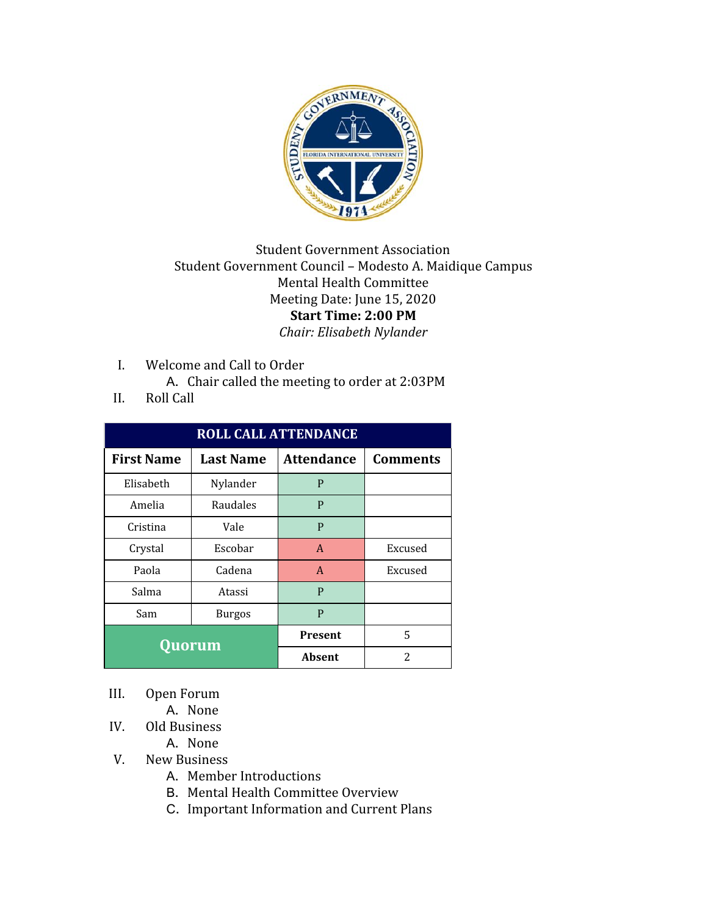

## Student Government Association Student Government Council – Modesto A. Maidique Campus Mental Health Committee Meeting Date: June 15, 2020 **Start Time: 2:00 PM** *Chair: Elisabeth Nylander*

- I. Welcome and Call to Order
	- A. Chair called the meeting to order at 2:03PM
- II. Roll Call

| <b>ROLL CALL ATTENDANCE</b> |                  |                   |                 |  |
|-----------------------------|------------------|-------------------|-----------------|--|
| <b>First Name</b>           | <b>Last Name</b> | <b>Attendance</b> | <b>Comments</b> |  |
| Elisabeth                   | Nylander         | P                 |                 |  |
| Amelia                      | Raudales         | P                 |                 |  |
| Cristina                    | Vale             | P                 |                 |  |
| Crystal                     | Escobar          | $\mathbf{A}$      | Excused         |  |
| Paola                       | Cadena           | $\mathsf{A}$      | Excused         |  |
| Salma                       | Atassi           | P                 |                 |  |
| Sam                         | <b>Burgos</b>    | P                 |                 |  |
| Quorum                      |                  | <b>Present</b>    | 5               |  |
|                             |                  | Absent            | $\overline{c}$  |  |

- III. Open Forum
	- A. None
- IV. Old Business
	- A. None
- V. New Business
	- A. Member Introductions
	- B. Mental Health Committee Overview
	- C. Important Information and Current Plans